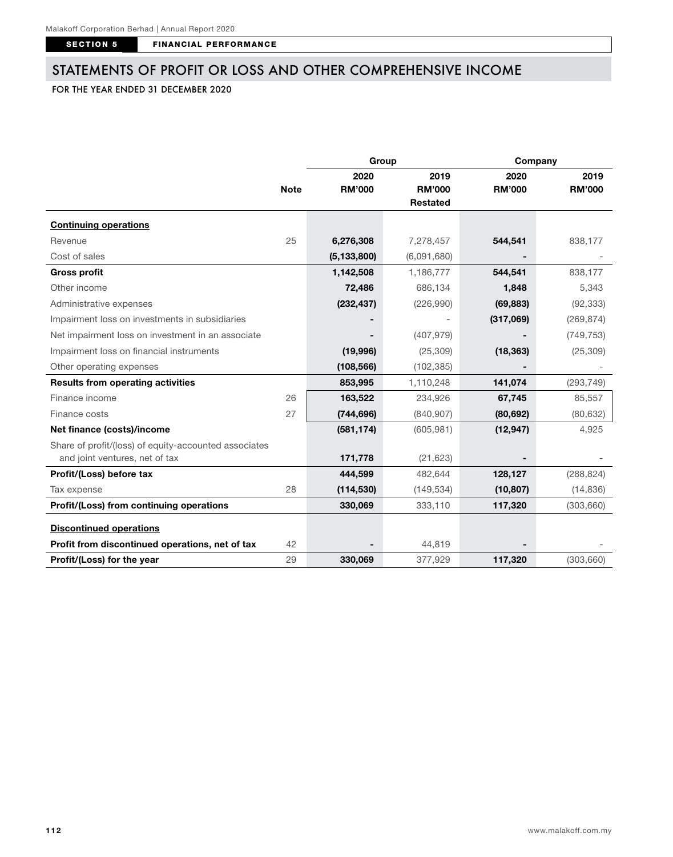SECTION 5 FINANCIAL PERFORMANCE

## STATEMENTS OF PROFIT OR LOSS AND OTHER COMPREHENSIVE INCOME

## FOR THE YEAR ENDED 31 DECEMBER 2020

|                                                       |             | Group         |               | Company       |               |
|-------------------------------------------------------|-------------|---------------|---------------|---------------|---------------|
|                                                       |             | 2020          | 2019          | 2020          | 2019          |
|                                                       | <b>Note</b> | <b>RM'000</b> | <b>RM'000</b> | <b>RM'000</b> | <b>RM'000</b> |
|                                                       |             |               | Restated      |               |               |
| <b>Continuing operations</b>                          |             |               |               |               |               |
| Revenue                                               | 25          | 6,276,308     | 7,278,457     | 544,541       | 838,177       |
| Cost of sales                                         |             | (5, 133, 800) | (6,091,680)   |               |               |
| <b>Gross profit</b>                                   |             | 1,142,508     | 1,186,777     | 544,541       | 838,177       |
| Other income                                          |             | 72,486        | 686,134       | 1,848         | 5,343         |
| Administrative expenses                               |             | (232, 437)    | (226,990)     | (69, 883)     | (92, 333)     |
| Impairment loss on investments in subsidiaries        |             |               |               | (317,069)     | (269, 874)    |
| Net impairment loss on investment in an associate     |             |               | (407, 979)    |               | (749, 753)    |
| Impairment loss on financial instruments              |             | (19,996)      | (25, 309)     | (18, 363)     | (25, 309)     |
| Other operating expenses                              |             | (108, 566)    | (102, 385)    |               |               |
| <b>Results from operating activities</b>              |             | 853,995       | 1,110,248     | 141,074       | (293, 749)    |
| Finance income                                        | 26          | 163,522       | 234,926       | 67,745        | 85,557        |
| Finance costs                                         | 27          | (744, 696)    | (840, 907)    | (80, 692)     | (80, 632)     |
| Net finance (costs)/income                            |             | (581, 174)    | (605, 981)    | (12, 947)     | 4,925         |
| Share of profit/(loss) of equity-accounted associates |             |               |               |               |               |
| and joint ventures, net of tax                        |             | 171,778       | (21, 623)     |               |               |
| Profit/(Loss) before tax                              |             | 444,599       | 482,644       | 128,127       | (288, 824)    |
| Tax expense                                           | 28          | (114, 530)    | (149, 534)    | (10, 807)     | (14, 836)     |
| Profit/(Loss) from continuing operations              |             | 330,069       | 333,110       | 117,320       | (303, 660)    |
| <b>Discontinued operations</b>                        |             |               |               |               |               |
| Profit from discontinued operations, net of tax       | 42          |               | 44,819        |               |               |
| Profit/(Loss) for the year                            | 29          | 330,069       | 377,929       | 117,320       | (303, 660)    |